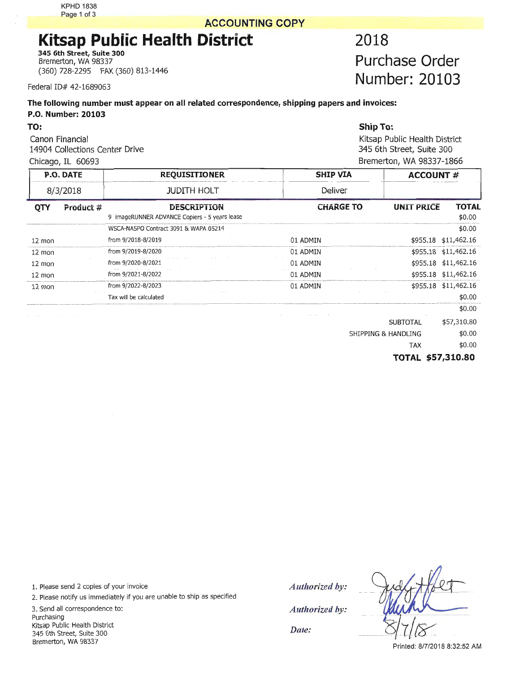KPHD 1838 Page 1 of 3

## <sup>1</sup>**ACCOUNTING COPY**

## **Kitsap Public Health District 2018**

**345 6th Street, Suite 300**  Bremerton, WA 98337 (360) 728-2295 FAX (360) 813-1446

Federal ID# 42-1689063

## **The following number must appear on all related correspondence, shipping papers and invoices: P.O. Number: 20103**

**Purchase Order Number: 20103** 

| TO:                                               |                                               | <b>Ship To:</b>               |                          |              |  |  |  |
|---------------------------------------------------|-----------------------------------------------|-------------------------------|--------------------------|--------------|--|--|--|
| Canon Financial<br>14904 Collections Center Drive |                                               | Kitsap Public Health District |                          |              |  |  |  |
|                                                   |                                               | 345 6th Street, Suite 300     |                          |              |  |  |  |
| Chicago, IL 60693                                 |                                               |                               | Bremerton, WA 98337-1866 |              |  |  |  |
| <b>P.O. DATE</b>                                  | <b>REQUISITIONER</b>                          | <b>SHIP VIA</b>               | <b>ACCOUNT #</b>         |              |  |  |  |
| 8/3/2018                                          | <b>JUDITH HOLT</b>                            | <b>Deliver</b>                |                          |              |  |  |  |
| Product #<br><b>OTY</b>                           | <b>DESCRIPTION</b>                            | <b>CHARGE TO</b>              | <b>UNIT PRICE</b>        | <b>TOTAL</b> |  |  |  |
|                                                   | 9 ImageRUNNER ADVANCE Copiers - 5 years lease |                               |                          | \$0.00       |  |  |  |
|                                                   | WSCA-NASPO Contract 3091 & WAPA 05214         |                               |                          | \$0.00       |  |  |  |

|                  | Product # | <b>DESCRIPTION</b>                            | <b>CHARGE TO</b> | <b>UNIT PRICE</b> | ΤΟΤΑΙ                |
|------------------|-----------|-----------------------------------------------|------------------|-------------------|----------------------|
|                  |           | 9 imageRUNNER ADVANCE Copiers - 5 years lease |                  |                   | \$0.00               |
|                  |           | WSCA-NASPO Contract 3091 & WAPA 05214         |                  |                   | \$0.00               |
| $12 \text{ mon}$ |           | from 9/2018-8/2019                            | 01 ADMIN         | \$955.18          | \$11,462.16          |
| $12 \text{ mon}$ |           | from 9/2019-8/2020                            | 01 ADMIN         |                   | \$955.18 \$11,462.16 |
| $12 \text{ mon}$ |           | from 9/2020-8/2021                            | 01 ADMIN         |                   | \$955.18 \$11,462.16 |
| $12 \text{ mon}$ |           | from 9/2021-8/2022                            | 01 ADMIN         | \$955.18          | \$11.462.16          |
| $12 \text{ mon}$ |           | from 9/2022-8/2023                            | 01 ADMIN         |                   | \$955.18 \$11,462.16 |
|                  |           | Tax will be calculated                        |                  |                   | \$0.00               |
|                  |           |                                               |                  |                   | \$0.00               |

| <b>SUBTOTAL</b>     | \$57,310.80 |
|---------------------|-------------|
| SHIPPING & HANDLING | \$0.00      |

TAX \$0.00

**TOTAL \$57,310.80** 

1. Please send 2 copies of your invoice

2. Please notify us immediately if you are unable to ship as specified

3. Send all correspondence to: Purchasing Kitsap Public Health District 345 6th Street, Suite 300 Bremerton, **WA** 98337

*Authorized by: Authorized by: Date:* 

Printed: 8/7/2018 8:32:52 AM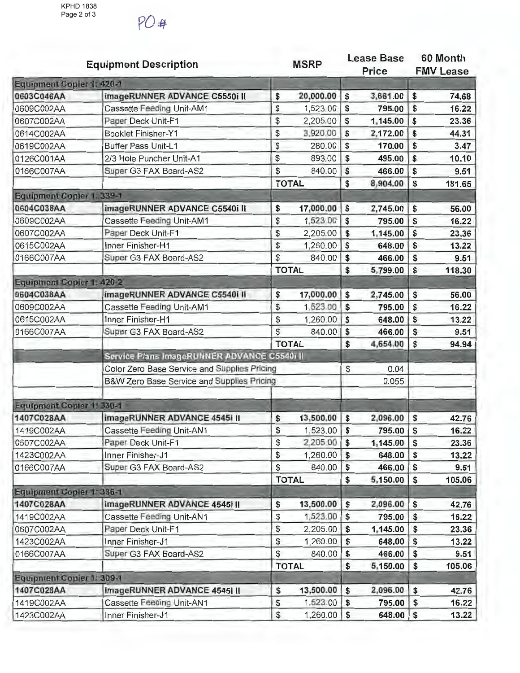PO#

|                           | <b>Equipment Description</b>                 |                       | <b>MSRP</b>   |            | Lease Base<br><b>Price</b> |                           | 60 Month<br><b>FMV Lease</b> |
|---------------------------|----------------------------------------------|-----------------------|---------------|------------|----------------------------|---------------------------|------------------------------|
| Equipment Copier 1: 420-1 |                                              |                       |               |            |                            |                           |                              |
| 0603C046AA                | imageRUNNER ADVANCE C5550i II                | \$                    | 20,000.00     | \$         | 3,661.00                   | \$                        | 74.68                        |
| 0609C002AA                | Cassette Feeding Unit-AM1                    | $\boldsymbol{\theta}$ | 1,523.00      | \$         | 795.00                     | \$                        | 16.22                        |
| 0607C002AA                | Paper Deck Unit-F1                           | \$                    | 2,205.00      | \$         | 1,145.00                   | \$                        | 23.36                        |
| 0614C002AA                | <b>Booklet Finisher-Y1</b>                   | \$                    | 3,920.00      | \$         | 2,172.00                   | \$                        | 44.31                        |
| 0619C002AA                | <b>Buffer Pass Unit-L1</b>                   | $\frac{1}{2}$         | 280.00        | \$         | 170.00                     | $\boldsymbol{\mathsf{s}}$ | 3.47                         |
| 0126C001AA                | 2/3 Hole Puncher Unit-A1                     | \$                    | 893.00        | \$         | 495.00                     | \$                        | 10.10                        |
| 0166C007AA                | Super G3 FAX Board-AS2                       | $\mathcal{S}$         | 840.00        | \$         | 466.00                     | \$                        | 9.51                         |
|                           |                                              |                       | <b>TOTAL</b>  | \$         | 8,904.00                   | \$                        | 181.65                       |
| Equipment Copier 1: 339-1 |                                              |                       |               |            |                            |                           |                              |
| 0604C038AA                | imageRUNNER ADVANCE C5540i II                | \$                    | 17,000.00     | \$         | 2,745.00                   | \$                        | 56.00                        |
| 0609C002AA                | Cassette Feeding Unit-AM1                    | \$                    | 1,523.00      | \$         | 795.00                     | $\mathsf{\$}$             | 16.22                        |
| 0607C002AA                | Paper Deck Unit-F1                           | \$                    | 2,205.00      | \$         | 1,145.00                   | \$                        | 23.36                        |
| 0615C002AA                | Inner Finisher-H1                            | \$                    | 1,260.00      | \$         | 648.00                     | \$                        | 13.22                        |
| 0166C007AA                | Super G3 FAX Board-AS2                       | \$                    | 840.00        | \$         | 466.00                     | \$                        | 9.51                         |
|                           |                                              |                       | <b>TOTAL</b>  | \$         | 5,799.00                   | \$                        | 118.30                       |
| Equipment Copier 1: 420-2 |                                              |                       |               |            |                            |                           |                              |
| 0604C038AA                | imageRUNNER ADVANCE C5540i II                | \$                    | 17,000.00     | \$         | 2,745.00                   | \$                        | 56.00                        |
| 0609C002AA                | Cassette Feeding Unit-AM1                    | \$                    | 1,523.00      | \$         | 795.00                     | \$                        | 16.22                        |
| 0615C002AA                | Inner Finisher-H1                            | \$                    | 1,260.00      | \$         | 648.00                     | \$                        | 13.22                        |
| 0166C007AA                | Super G3 FAX Board-AS2                       | \$                    | 840.00        | \$         | 466.00                     | $\mathsf{s}$              | 9.51                         |
|                           |                                              |                       | <b>TOTAL</b>  | \$         | 4,654.00                   | \$                        | 94.94                        |
|                           | Service Plans ImageRUNNER ADVANCE C55401 II  |                       |               |            |                            |                           |                              |
|                           | Color Zero Base Service and Supplies Pricing |                       |               | \$         | 0.04                       |                           |                              |
|                           | B&W Zero Base Service and Supplies Pricing   |                       |               |            | 0.055                      |                           |                              |
| Equipment Copier 1: 330-1 |                                              |                       |               |            |                            |                           |                              |
| 1407C028AA                | imageRUNNER ADVANCE 4545i II                 | \$                    | 13,500.00     | \$         | 2,096.00                   | \$                        | 42.76                        |
| 1419C002AA                | Cassette Feeding Unit-AN1                    | $\mathfrak{S}$        | 1,523.00      | \$         | 795.00                     | $\mathsf{\$}$             | 16.22                        |
| 0607C002AA                | Paper Deck Unit-F1                           | \$                    | 2,205.00      | $\sqrt{S}$ | 1,145.00                   | l \$                      | 23.36                        |
| 1423C002AA                | Inner Finisher-J1                            | \$                    | 1,260.00      | \$         | 648.00                     | $\sqrt[6]{3}$             | 13.22                        |
| 0166C007AA                | Super G3 FAX Board-AS2                       | \$                    | 840.00        | \$         | 466.00                     | \$                        | 9.51                         |
|                           |                                              |                       | <b>TOTAL</b>  | \$         | 5,150.00                   | $\sqrt{5}$                | 105.06                       |
| Equipment Copier 1: 336-1 |                                              |                       |               |            |                            |                           |                              |
| 1407C028AA                | imageRUNNER ADVANCE 4545i II                 | \$                    | 13,500.00     | \$         | 2,096.00                   | \$                        | 42.76                        |
| 1419C002AA                | Cassette Feeding Unit-AN1                    | \$                    | 1,523.00      | \$         | 795.00                     | \$                        | 16.22                        |
| 0607C002AA                | Paper Deck Unit-F1                           | \$                    | 2,205.00      | \$         | 1,145.00                   | $\mathfrak{s}$            | 23.36                        |
| 1423C002AA                | Inner Finisher-J1                            | \$                    | 1,260.00      | \$         | 648.00                     | $\boldsymbol{\mathsf{s}}$ | 13.22                        |
| 0166C007AA                | Super G3 FAX Board-AS2                       | \$                    | 840.00        | \$         | 466.00                     | \$                        | 9.51                         |
|                           |                                              |                       | <b>TOTAL</b>  | \$         | 5,150.00                   | \$                        | 105.06                       |
| Equipment Copier 1: 309-1 |                                              |                       |               |            |                            |                           |                              |
| 1407C028AA                | ImageRUNNER ADVANCE 4545i II                 | \$                    | 13,500.00     | $\sqrt{5}$ | 2,096.00                   | \$                        | 42.76                        |
| 1419C002AA                | Cassette Feeding Unit-AN1                    | \$                    | 1,523.00      | \$         | 795.00                     | \$                        | 16.22                        |
| 1423C002AA                | Inner Finisher-J1                            | \$                    | $1,260.00$ \$ |            | 648.00                     | $\sqrt{5}$                | 13.22                        |